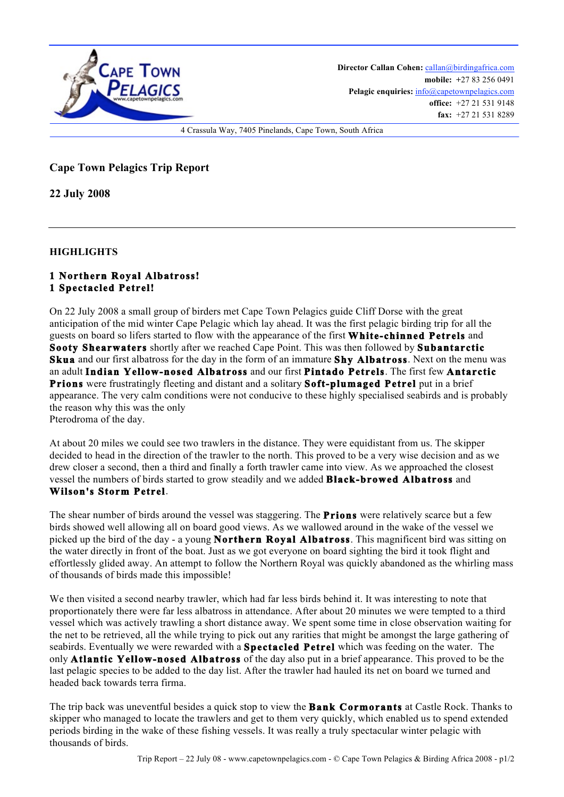

Director Callan Cohen: callan@birdingafrica.com **mobile: +**27 83 256 0491 Pelagic enquiries:  $info@capetownpelagics.com$ **office:** +27 21 531 9148 **fax:** +27 21 531 8289

4 Crassula Way, 7405 Pinelands, Cape Town, South Africa

## **Cape Town Pelagics Trip Report**

**22 July 2008**

**HIGHLIGHTS**

## **1 Northern Royal Albatross! 1 Spectacled Petrel!**

On 22 July 2008 a small group of birders met Cape Town Pelagics guide Cliff Dorse with the great anticipation of the mid winter Cape Pelagic which lay ahead. It was the first pelagic birding trip for all the guests on board so lifers started to flow with the appearance of the first **White-chinned Petrels** and **Sooty Shearwaters** shortly after we reached Cape Point. This was then followed by **Subantarctic Skua** and our first albatross for the day in the form of an immature **Shy Albatross**. Next on the menu was an adult **Indian Yellow-nosed Albatross** and our first **Pintado Petrels**. The first few **Antarctic Prions** were frustratingly fleeting and distant and a solitary **Soft-plumaged Petrel** put in a brief appearance. The very calm conditions were not conducive to these highly specialised seabirds and is probably the reason why this was the only Pterodroma of the day.

At about 20 miles we could see two trawlers in the distance. They were equidistant from us. The skipper decided to head in the direction of the trawler to the north. This proved to be a very wise decision and as we drew closer a second, then a third and finally a forth trawler came into view. As we approached the closest vessel the numbers of birds started to grow steadily and we added **Black-browed Albatross** and **Wilson's Storm Petrel**.

The shear number of birds around the vessel was staggering. The **Prions** were relatively scarce but a few birds showed well allowing all on board good views. As we wallowed around in the wake of the vessel we picked up the bird of the day - a young **Northern Royal Albatross**. This magnificent bird was sitting on the water directly in front of the boat. Just as we got everyone on board sighting the bird it took flight and effortlessly glided away. An attempt to follow the Northern Royal was quickly abandoned as the whirling mass of thousands of birds made this impossible!

We then visited a second nearby trawler, which had far less birds behind it. It was interesting to note that proportionately there were far less albatross in attendance. After about 20 minutes we were tempted to a third vessel which was actively trawling a short distance away. We spent some time in close observation waiting for the net to be retrieved, all the while trying to pick out any rarities that might be amongst the large gathering of seabirds. Eventually we were rewarded with a **Spectacled Petrel** which was feeding on the water. The only **Atlantic Yellow-nosed Albatross** of the day also put in a brief appearance. This proved to be the last pelagic species to be added to the day list. After the trawler had hauled its net on board we turned and headed back towards terra firma.

The trip back was uneventful besides a quick stop to view the **Bank Cormorants** at Castle Rock. Thanks to skipper who managed to locate the trawlers and get to them very quickly, which enabled us to spend extended periods birding in the wake of these fishing vessels. It was really a truly spectacular winter pelagic with thousands of birds.